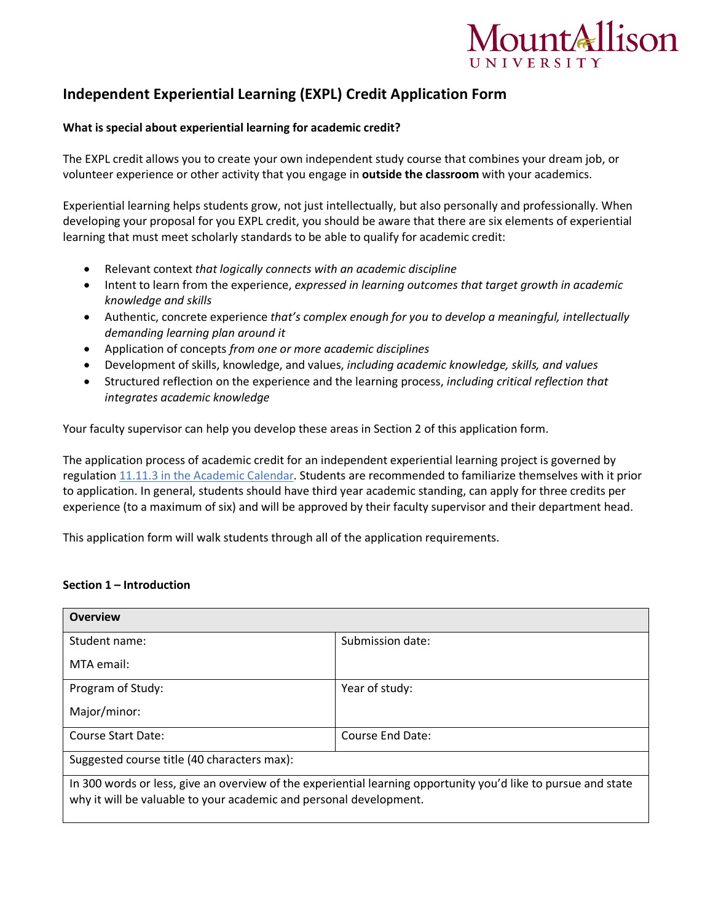

# **Independent Experiential Learning (EXPL) Credit Application Form**

# **What is special about experiential learning for academic credit?**

The EXPL credit allows you to create your own independent study course that combines your dream job, or volunteer experience or other activity that you engage in **outside the classroom** with your academics.

Experiential learning helps students grow, not just intellectually, but also personally and professionally. When developing your proposal for you EXPL credit, you should be aware that there are six elements of experiential learning that must meet scholarly standards to be able to qualify for academic credit:

- Relevant context *that logically connects with an academic discipline*
- Intent to learn from the experience, *expressed in learning outcomes that target growth in academic knowledge and skills*
- Authentic, concrete experience *that's complex enough for you to develop a meaningful, intellectually demanding learning plan around it*
- Application of concepts *from one or more academic disciplines*
- Development of skills, knowledge, and values, *including academic knowledge, skills, and values*
- Structured reflection on the experience and the learning process, *including critical reflection that integrates academic knowledge*

Your faculty supervisor can help you develop these areas in Section 2 of this application form.

The application process of academic credit for an independent experiential learning project is governed by regulation 11.11.3 in the Academic Calendar. Students are recommended to familiarize themselves with it prior to application. In general, students should have third year academic standing, can apply for three credits per experience (to a maximum of six) and will be approved by their faculty supervisor and their department head.

This application form will walk students through all of the application requirements.

## **Section 1 – Introduction**

| <b>Overview</b>                                                                                                                                                                      |                  |  |
|--------------------------------------------------------------------------------------------------------------------------------------------------------------------------------------|------------------|--|
| Student name:                                                                                                                                                                        | Submission date: |  |
| MTA email:                                                                                                                                                                           |                  |  |
| Program of Study:                                                                                                                                                                    | Year of study:   |  |
| Major/minor:                                                                                                                                                                         |                  |  |
| Course Start Date:                                                                                                                                                                   | Course End Date: |  |
| Suggested course title (40 characters max):                                                                                                                                          |                  |  |
| In 300 words or less, give an overview of the experiential learning opportunity you'd like to pursue and state<br>why it will be valuable to your academic and personal development. |                  |  |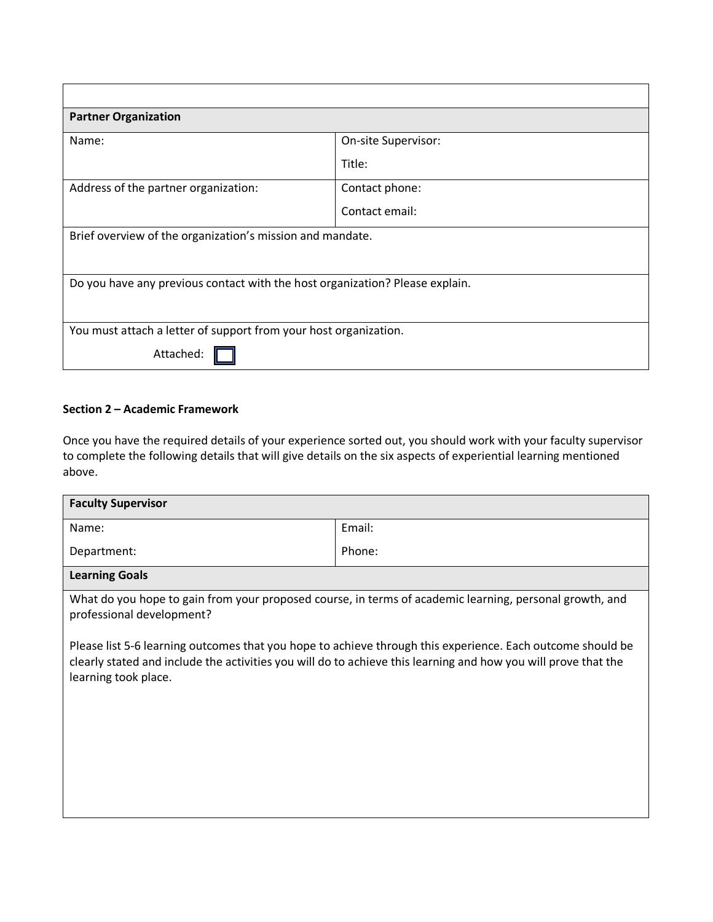| <b>Partner Organization</b>                                                  |                     |  |
|------------------------------------------------------------------------------|---------------------|--|
| Name:                                                                        | On-site Supervisor: |  |
|                                                                              | Title:              |  |
| Address of the partner organization:                                         | Contact phone:      |  |
|                                                                              | Contact email:      |  |
| Brief overview of the organization's mission and mandate.                    |                     |  |
|                                                                              |                     |  |
| Do you have any previous contact with the host organization? Please explain. |                     |  |
|                                                                              |                     |  |
| You must attach a letter of support from your host organization.             |                     |  |
| Attached                                                                     |                     |  |

## **Section 2 – Academic Framework**

Once you have the required details of your experience sorted out, you should work with your faculty supervisor to complete the following details that will give details on the six aspects of experiential learning mentioned above.

| <b>Faculty Supervisor</b>                                                                                                                                                                                                                            |        |  |
|------------------------------------------------------------------------------------------------------------------------------------------------------------------------------------------------------------------------------------------------------|--------|--|
| Name:                                                                                                                                                                                                                                                | Email: |  |
| Department:                                                                                                                                                                                                                                          | Phone: |  |
| <b>Learning Goals</b>                                                                                                                                                                                                                                |        |  |
| What do you hope to gain from your proposed course, in terms of academic learning, personal growth, and<br>professional development?                                                                                                                 |        |  |
| Please list 5-6 learning outcomes that you hope to achieve through this experience. Each outcome should be<br>clearly stated and include the activities you will do to achieve this learning and how you will prove that the<br>learning took place. |        |  |